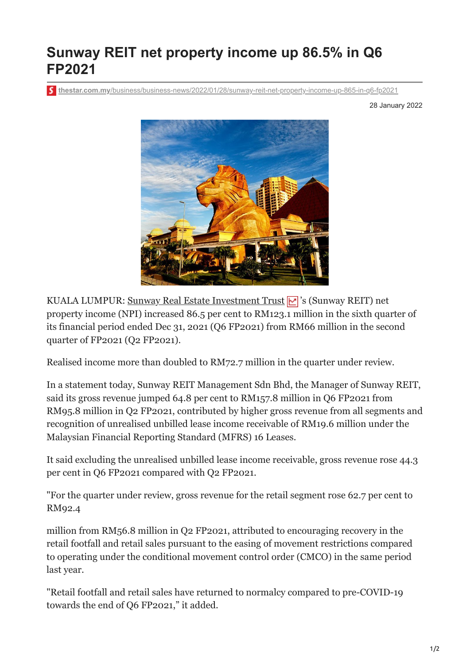## **Sunway REIT net property income up 86.5% in Q6 FP2021**

**thestar.com.my**[/business/business-news/2022/01/28/sunway-reit-net-property-income-up-865-in-q6-fp2021](https://www.thestar.com.my/business/business-news/2022/01/28/sunway-reit-net-property-income-up-865-in-q6-fp2021)

28 January 2022



KUALA LUMPUR: [Sunway Real Estate Investment Trust](https://www.thestar.com.my/business/marketwatch/stocks/?qcounter=SUNREIT) 's (Sunway REIT) net property income (NPI) increased 86.5 per cent to RM123.1 million in the sixth quarter of its financial period ended Dec 31, 2021 (Q6 FP2021) from RM66 million in the second quarter of FP2021 (Q2 FP2021).

Realised income more than doubled to RM72.7 million in the quarter under review.

In a statement today, Sunway REIT Management Sdn Bhd, the Manager of Sunway REIT, said its gross revenue jumped 64.8 per cent to RM157.8 million in Q6 FP2021 from RM95.8 million in Q2 FP2021, contributed by higher gross revenue from all segments and recognition of unrealised unbilled lease income receivable of RM19.6 million under the Malaysian Financial Reporting Standard (MFRS) 16 Leases.

It said excluding the unrealised unbilled lease income receivable, gross revenue rose 44.3 per cent in Q6 FP2021 compared with Q2 FP2021.

"For the quarter under review, gross revenue for the retail segment rose 62.7 per cent to RM92.4

million from RM56.8 million in Q2 FP2021, attributed to encouraging recovery in the retail footfall and retail sales pursuant to the easing of movement restrictions compared to operating under the conditional movement control order (CMCO) in the same period last year.

"Retail footfall and retail sales have returned to normalcy compared to pre-COVID-19 towards the end of Q6 FP2021," it added.